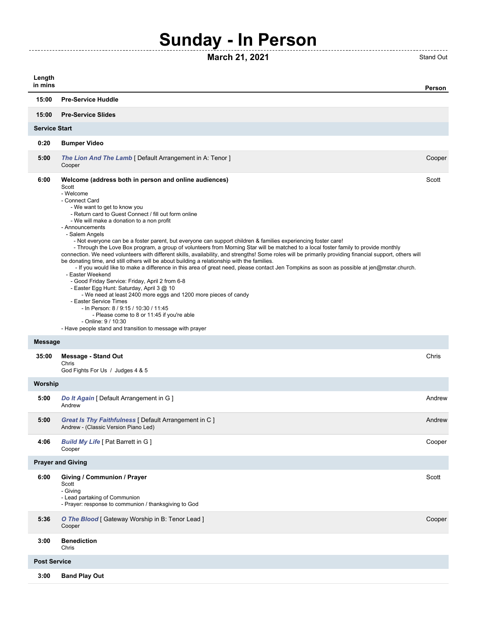## **Sunday - In Person**

## **March 21, 2021** Stand Out

------------------------------------

| Length<br>in mins        |                                                                                                                                                                                                                                                                                                                                                                                                                                                                                                                                                                                                                                                                                                                                                                                                                                                                                                                                                                                                                                                                                                                                                                                                                                                                                                                                      | Person |  |  |
|--------------------------|--------------------------------------------------------------------------------------------------------------------------------------------------------------------------------------------------------------------------------------------------------------------------------------------------------------------------------------------------------------------------------------------------------------------------------------------------------------------------------------------------------------------------------------------------------------------------------------------------------------------------------------------------------------------------------------------------------------------------------------------------------------------------------------------------------------------------------------------------------------------------------------------------------------------------------------------------------------------------------------------------------------------------------------------------------------------------------------------------------------------------------------------------------------------------------------------------------------------------------------------------------------------------------------------------------------------------------------|--------|--|--|
| 15:00                    | <b>Pre-Service Huddle</b>                                                                                                                                                                                                                                                                                                                                                                                                                                                                                                                                                                                                                                                                                                                                                                                                                                                                                                                                                                                                                                                                                                                                                                                                                                                                                                            |        |  |  |
| 15:00                    | <b>Pre-Service Slides</b>                                                                                                                                                                                                                                                                                                                                                                                                                                                                                                                                                                                                                                                                                                                                                                                                                                                                                                                                                                                                                                                                                                                                                                                                                                                                                                            |        |  |  |
| <b>Service Start</b>     |                                                                                                                                                                                                                                                                                                                                                                                                                                                                                                                                                                                                                                                                                                                                                                                                                                                                                                                                                                                                                                                                                                                                                                                                                                                                                                                                      |        |  |  |
| 0:20                     | <b>Bumper Video</b>                                                                                                                                                                                                                                                                                                                                                                                                                                                                                                                                                                                                                                                                                                                                                                                                                                                                                                                                                                                                                                                                                                                                                                                                                                                                                                                  |        |  |  |
| 5:00                     | The Lion And The Lamb [ Default Arrangement in A: Tenor ]<br>Cooper                                                                                                                                                                                                                                                                                                                                                                                                                                                                                                                                                                                                                                                                                                                                                                                                                                                                                                                                                                                                                                                                                                                                                                                                                                                                  | Cooper |  |  |
| 6:00                     | Welcome (address both in person and online audiences)<br>Scott<br>- Welcome<br>- Connect Card<br>- We want to get to know you<br>- Return card to Guest Connect / fill out form online<br>- We will make a donation to a non profit<br>- Announcements<br>- Salem Angels<br>- Not everyone can be a foster parent, but everyone can support children & families experiencing foster care!<br>- Through the Love Box program, a group of volunteers from Morning Star will be matched to a local foster family to provide monthly<br>connection. We need volunteers with different skills, availability, and strengths! Some roles will be primarily providing financial support, others will<br>be donating time, and still others will be about building a relationship with the families.<br>- If you would like to make a difference in this area of great need, please contact Jen Tompkins as soon as possible at jen@mstar.church.<br>- Easter Weekend<br>- Good Friday Service: Friday, April 2 from 6-8<br>- Easter Egg Hunt: Saturday, April 3 @ 10<br>- We need at least 2400 more eggs and 1200 more pieces of candy<br>- Easter Service Times<br>- In Person: 8 / 9:15 / 10:30 / 11:45<br>- Please come to 8 or 11:45 if you're able<br>- Online: 9 / 10:30<br>- Have people stand and transition to message with prayer | Scott  |  |  |
| <b>Message</b>           |                                                                                                                                                                                                                                                                                                                                                                                                                                                                                                                                                                                                                                                                                                                                                                                                                                                                                                                                                                                                                                                                                                                                                                                                                                                                                                                                      |        |  |  |
| 35:00                    | <b>Message - Stand Out</b><br>Chris<br>God Fights For Us / Judges 4 & 5                                                                                                                                                                                                                                                                                                                                                                                                                                                                                                                                                                                                                                                                                                                                                                                                                                                                                                                                                                                                                                                                                                                                                                                                                                                              | Chris  |  |  |
| Worship                  |                                                                                                                                                                                                                                                                                                                                                                                                                                                                                                                                                                                                                                                                                                                                                                                                                                                                                                                                                                                                                                                                                                                                                                                                                                                                                                                                      |        |  |  |
| 5:00                     | Do It Again [ Default Arrangement in G ]<br>Andrew                                                                                                                                                                                                                                                                                                                                                                                                                                                                                                                                                                                                                                                                                                                                                                                                                                                                                                                                                                                                                                                                                                                                                                                                                                                                                   | Andrew |  |  |
| 5:00                     | Great Is Thy Faithfulness [ Default Arrangement in C ]<br>Andrew - (Classic Version Piano Led)                                                                                                                                                                                                                                                                                                                                                                                                                                                                                                                                                                                                                                                                                                                                                                                                                                                                                                                                                                                                                                                                                                                                                                                                                                       | Andrew |  |  |
| 4:06                     | <b>Build My Life [ Pat Barrett in G ]</b><br>Cooper                                                                                                                                                                                                                                                                                                                                                                                                                                                                                                                                                                                                                                                                                                                                                                                                                                                                                                                                                                                                                                                                                                                                                                                                                                                                                  | Cooper |  |  |
| <b>Prayer and Giving</b> |                                                                                                                                                                                                                                                                                                                                                                                                                                                                                                                                                                                                                                                                                                                                                                                                                                                                                                                                                                                                                                                                                                                                                                                                                                                                                                                                      |        |  |  |
| 6:00                     | Giving / Communion / Prayer<br>Scott<br>- Giving<br>- Lead partaking of Communion<br>- Prayer: response to communion / thanksgiving to God                                                                                                                                                                                                                                                                                                                                                                                                                                                                                                                                                                                                                                                                                                                                                                                                                                                                                                                                                                                                                                                                                                                                                                                           | Scott  |  |  |
| 5:36                     | O The Blood [ Gateway Worship in B: Tenor Lead ]<br>Cooper                                                                                                                                                                                                                                                                                                                                                                                                                                                                                                                                                                                                                                                                                                                                                                                                                                                                                                                                                                                                                                                                                                                                                                                                                                                                           | Cooper |  |  |
| 3:00                     | <b>Benediction</b><br>Chris                                                                                                                                                                                                                                                                                                                                                                                                                                                                                                                                                                                                                                                                                                                                                                                                                                                                                                                                                                                                                                                                                                                                                                                                                                                                                                          |        |  |  |
| <b>Post Service</b>      |                                                                                                                                                                                                                                                                                                                                                                                                                                                                                                                                                                                                                                                                                                                                                                                                                                                                                                                                                                                                                                                                                                                                                                                                                                                                                                                                      |        |  |  |
| 3:00                     | <b>Band Play Out</b>                                                                                                                                                                                                                                                                                                                                                                                                                                                                                                                                                                                                                                                                                                                                                                                                                                                                                                                                                                                                                                                                                                                                                                                                                                                                                                                 |        |  |  |